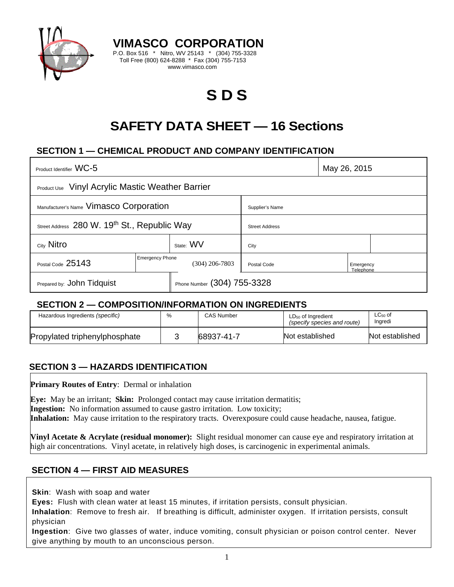

**VIMASCO CORPORATION**  P.O. Box 516 \* Nitro, WV 25143 \* (304) 755-3328 Toll Free (800) 624-8288 \* Fax (304) 755-7153 www.vimasco.com

# **S D S**

# **SAFETY DATA SHEET — 16 Sections**

# **SECTION 1 — CHEMICAL PRODUCT AND COMPANY IDENTIFICATION**

| Product Identifier WC-5                                 |                        |                             |                       |  | May 26, 2015           |  |
|---------------------------------------------------------|------------------------|-----------------------------|-----------------------|--|------------------------|--|
| <b>Product Use</b> Vinyl Acrylic Mastic Weather Barrier |                        |                             |                       |  |                        |  |
| Manufacturer's Name Vimasco Corporation                 |                        |                             | Supplier's Name       |  |                        |  |
| Street Address 280 W. 19th St., Republic Way            |                        |                             | <b>Street Address</b> |  |                        |  |
| City Nitro                                              |                        | State: WV                   | City                  |  |                        |  |
| Postal Code 25143                                       | <b>Emergency Phone</b> | $(304)$ 206-7803            | Postal Code           |  | Emergency<br>Telephone |  |
| Prepared by: John Tidquist                              |                        | Phone Number (304) 755-3328 |                       |  |                        |  |

#### **SECTION 2 — COMPOSITION/INFORMATION ON INGREDIENTS**

| Hazardous Ingredients (specific) | <b>CAS Number</b> | $LD_{50}$ of Ingredient<br>(specify species and route) | $LC_{50}$ of<br>Ingredi |
|----------------------------------|-------------------|--------------------------------------------------------|-------------------------|
| Propylated triphenylphosphate    | 68937-41-7        | Not established                                        | Not established         |

#### **SECTION 3 — HAZARDS IDENTIFICATION**

**Primary Routes of Entry**: Dermal or inhalation

**Eye:** May be an irritant; **Skin:** Prolonged contact may cause irritation dermatitis; **Ingestion:** No information assumed to cause gastro irritation. Low toxicity; **Inhalation:** May cause irritation to the respiratory tracts. Overexposure could cause headache, nausea, fatigue.

**Vinyl Acetate & Acrylate (residual monomer):** Slight residual monomer can cause eye and respiratory irritation at high air concentrations. Vinyl acetate, in relatively high doses, is carcinogenic in experimental animals.

#### **SECTION 4 — FIRST AID MEASURES**

**Skin**: Wash with soap and water

**Eyes:** Flush with clean water at least 15 minutes, if irritation persists, consult physician.

**Inhalation**: Remove to fresh air. If breathing is difficult, administer oxygen. If irritation persists, consult physician

**Ingestion**: Give two glasses of water, induce vomiting, consult physician or poison control center. Never give anything by mouth to an unconscious person.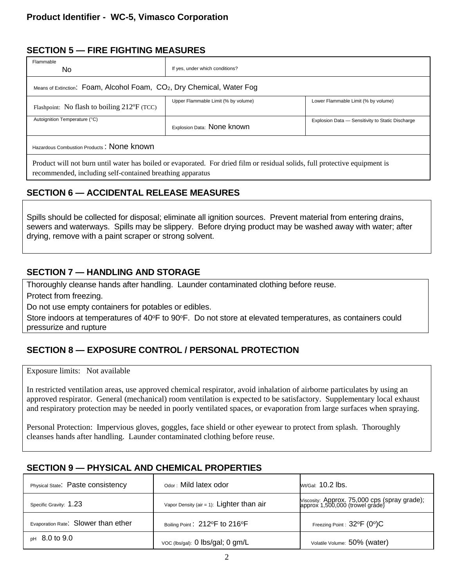# **SECTION 5 — FIRE FIGHTING MEASURES**

| Flammable<br>No.                                                                   | If yes, under which conditions?                                                                                             |                                                  |  |  |  |
|------------------------------------------------------------------------------------|-----------------------------------------------------------------------------------------------------------------------------|--------------------------------------------------|--|--|--|
| Means of Extinction: Foam, Alcohol Foam, CO <sub>2</sub> , Dry Chemical, Water Fog |                                                                                                                             |                                                  |  |  |  |
| Flashpoint: No flash to boiling $212^{\circ}F$ (TCC)                               | Upper Flammable Limit (% by volume)                                                                                         | Lower Flammable Limit (% by volume)              |  |  |  |
| Autoignition Temperature (°C)                                                      | Explosion Data: None known                                                                                                  | Explosion Data - Sensitivity to Static Discharge |  |  |  |
| Hazardous Combustion Products: None known                                          |                                                                                                                             |                                                  |  |  |  |
| recommended, including self-contained breathing apparatus                          | Product will not burn until water has boiled or evaporated. For dried film or residual solids, full protective equipment is |                                                  |  |  |  |

# **SECTION 6 — ACCIDENTAL RELEASE MEASURES**

Spills should be collected for disposal; eliminate all ignition sources. Prevent material from entering drains, sewers and waterways. Spills may be slippery. Before drying product may be washed away with water; after drying, remove with a paint scraper or strong solvent.

#### **SECTION 7 — HANDLING AND STORAGE**

Thoroughly cleanse hands after handling. Launder contaminated clothing before reuse.

Protect from freezing.

Do not use empty containers for potables or edibles.

Store indoors at temperatures of 40°F to 90°F. Do not store at elevated temperatures, as containers could pressurize and rupture

# **SECTION 8 — EXPOSURE CONTROL / PERSONAL PROTECTION**

Exposure limits: Not available

In restricted ventilation areas, use approved chemical respirator, avoid inhalation of airborne particulates by using an approved respirator. General (mechanical) room ventilation is expected to be satisfactory. Supplementary local exhaust and respiratory protection may be needed in poorly ventilated spaces, or evaporation from large surfaces when spraying.

Personal Protection: Impervious gloves, goggles, face shield or other eyewear to protect from splash. Thoroughly cleanses hands after handling. Launder contaminated clothing before reuse.

# **SECTION 9 — PHYSICAL AND CHEMICAL PROPERTIES**

| Physical State: Paste consistency   | Odor: Mild latex odor                       | $Wt/Gal: 10.2$ lbs.                                                             |
|-------------------------------------|---------------------------------------------|---------------------------------------------------------------------------------|
| Specific Gravity: 1.23              | Vapor Density (air = 1): $Lighter than air$ | Viscosity: Approx. 75,000 cps (spray grade);<br>approx 1,500,000 (trowel grade) |
| Evaporation Rate: Slower than ether | Boiling Point: 212°F to 216°F               | Freezing Point : $32^{\circ}F$ (0°)C                                            |
| $pH$ 8.0 to 9.0                     | voc (lbs/gal): 0 lbs/gal; 0 gm/L            | Volatile Volume: 50% (water)                                                    |